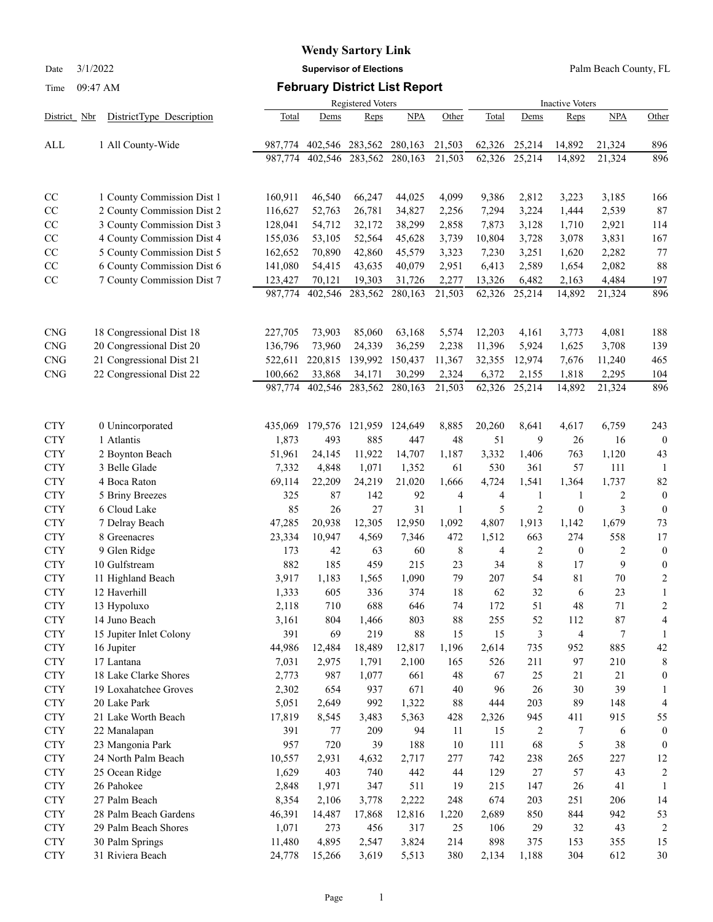Date 3/1/2022 **Supervisor of Elections** Palm Beach County, FL

### Time 09:47 AM **February District List Report**

|                          |                                |                    | Registered Voters |                   |                   |                 |                  |                         | <b>Inactive Voters</b>    |                 |                      |  |  |  |
|--------------------------|--------------------------------|--------------------|-------------------|-------------------|-------------------|-----------------|------------------|-------------------------|---------------------------|-----------------|----------------------|--|--|--|
| District Nbr             | DistrictType Description       | Total              | Dems              | Reps              | NPA               | Other           | Total            | Dems                    | Reps                      | <b>NPA</b>      | Other                |  |  |  |
| ALL                      | 1 All County-Wide              | 987.774            | 402,546           | 283,562           | 280,163           | 21,503          | 62,326           | 25,214                  | 14,892                    | 21,324          | 896                  |  |  |  |
|                          |                                | 987,774            | 402,546           |                   | 283,562 280,163   | 21,503          | 62,326           | 25,214                  | 14,892                    | 21,324          | 896                  |  |  |  |
| CC                       | 1 County Commission Dist 1     | 160,911            | 46,540            | 66,247            | 44,025            | 4,099           | 9,386            | 2,812                   | 3,223                     | 3,185           | 166                  |  |  |  |
| CC                       | 2 County Commission Dist 2     | 116,627            | 52,763            | 26,781            | 34,827            | 2,256           | 7,294            | 3,224                   | 1,444                     | 2,539           | 87                   |  |  |  |
| CC                       | 3 County Commission Dist 3     | 128,041            | 54,712            | 32,172            | 38,299            | 2,858           | 7,873            | 3,128                   | 1,710                     | 2,921           | 114                  |  |  |  |
| CC                       | 4 County Commission Dist 4     | 155,036            | 53,105            | 52,564            | 45,628            | 3,739           | 10,804           | 3,728                   | 3,078                     | 3,831           | 167                  |  |  |  |
| CC                       | 5 County Commission Dist 5     | 162,652            | 70,890            | 42,860            | 45,579            | 3,323           | 7,230            | 3,251                   | 1,620                     | 2,282           | 77                   |  |  |  |
| CC                       | 6 County Commission Dist 6     | 141,080            | 54,415            | 43,635            | 40,079            | 2,951           | 6,413            | 2,589                   | 1,654                     | 2,082           | 88                   |  |  |  |
| CC                       | 7 County Commission Dist 7     | 123,427<br>987,774 | 70,121<br>402,546 | 19,303<br>283,562 | 31,726<br>280,163 | 2,277<br>21,503 | 13,326<br>62,326 | 6,482<br>25,214         | 2,163<br>14,892           | 4,484<br>21,324 | 197<br>896           |  |  |  |
|                          |                                |                    |                   |                   |                   |                 |                  |                         |                           |                 |                      |  |  |  |
| <b>CNG</b>               | 18 Congressional Dist 18       | 227,705            | 73,903            | 85,060            | 63,168            | 5,574           | 12,203           | 4,161                   | 3,773                     | 4,081           | 188                  |  |  |  |
| <b>CNG</b>               | 20 Congressional Dist 20       | 136,796            | 73,960            | 24,339            | 36,259            | 2,238           | 11,396           | 5,924                   | 1,625                     | 3,708           | 139                  |  |  |  |
| <b>CNG</b>               | 21 Congressional Dist 21       | 522,611            | 220,815           | 139,992           | 150,437           | 11,367          | 32,355           | 12,974                  | 7,676                     | 11,240          | 465                  |  |  |  |
| <b>CNG</b>               | 22 Congressional Dist 22       | 100,662            | 33,868            | 34,171            | 30,299            | 2,324           | 6,372            | 2,155                   | 1,818                     | 2,295           | 104                  |  |  |  |
|                          |                                | 987,774            | 402,546           | 283,562           | 280,163           | 21,503          | 62,326           | 25,214                  | 14,892                    | 21,324          | 896                  |  |  |  |
| <b>CTY</b>               | 0 Unincorporated               | 435,069            | 179,576           | 121,959           | 124,649           | 8,885           | 20,260           | 8,641                   | 4,617                     | 6,759           | 243                  |  |  |  |
| <b>CTY</b>               | 1 Atlantis                     | 1,873              | 493               | 885               | 447               | 48              | 51               | 9                       | 26                        | 16              | $\overline{0}$       |  |  |  |
| <b>CTY</b>               | 2 Boynton Beach                | 51,961             | 24,145            | 11,922            | 14,707            | 1,187           | 3,332            | 1,406                   | 763                       | 1,120           | 43                   |  |  |  |
| <b>CTY</b>               | 3 Belle Glade                  | 7,332              | 4,848             | 1,071             | 1,352             | 61              | 530              | 361                     | 57                        | 111             | -1                   |  |  |  |
| <b>CTY</b>               | 4 Boca Raton                   | 69,114             | 22,209            | 24,219            | 21,020            | 1,666           | 4,724            | 1,541                   | 1,364                     | 1,737           | 82                   |  |  |  |
| <b>CTY</b>               | 5 Briny Breezes                | 325                | 87                | 142               | 92                | 4               | 4                | 1                       | 1                         | 2               | $\theta$             |  |  |  |
| <b>CTY</b><br><b>CTY</b> | 6 Cloud Lake<br>7 Delray Beach | 85<br>47,285       | 26<br>20,938      | 27<br>12,305      | 31<br>12,950      | 1<br>1,092      | 5<br>4,807       | $\overline{2}$<br>1,913 | $\boldsymbol{0}$<br>1,142 | 3<br>1,679      | $\overline{0}$<br>73 |  |  |  |
| <b>CTY</b>               | 8 Greenacres                   | 23,334             | 10,947            | 4,569             | 7,346             | 472             | 1,512            | 663                     | 274                       | 558             | 17                   |  |  |  |
| <b>CTY</b>               | 9 Glen Ridge                   | 173                | 42                | 63                | 60                | 8               | 4                | $\mathfrak{2}$          | $\boldsymbol{0}$          | $\overline{c}$  | $\theta$             |  |  |  |
| <b>CTY</b>               | 10 Gulfstream                  | 882                | 185               | 459               | 215               | 23              | 34               | 8                       | 17                        | 9               | $\theta$             |  |  |  |
| <b>CTY</b>               | 11 Highland Beach              | 3,917              | 1,183             | 1,565             | 1,090             | 79              | 207              | 54                      | 81                        | 70              | $\overline{c}$       |  |  |  |
| <b>CTY</b>               | 12 Haverhill                   | 1,333              | 605               | 336               | 374               | 18              | 62               | 32                      | 6                         | 23              | $\mathbf{1}$         |  |  |  |
| <b>CTY</b>               | 13 Hypoluxo                    | 2,118              | 710               | 688               | 646               | 74              | 172              | 51                      | 48                        | 71              | $\overline{c}$       |  |  |  |
| <b>CTY</b>               | 14 Juno Beach                  | 3,161              | 804               | 1,466             | 803               | $88\,$          | 255              | 52                      | 112                       | $87\,$          | 4                    |  |  |  |
| <b>CTY</b>               | 15 Jupiter Inlet Colony        | 391                | 69                | 219               | $88\,$            | 15              | 15               | 3                       | 4                         | 7               | 1                    |  |  |  |
| <b>CTY</b>               | 16 Jupiter                     | 44,986             | 12,484            | 18,489            | 12,817            | 1,196           | 2,614            | 735                     | 952                       | 885             | 42                   |  |  |  |
| <b>CTY</b>               | 17 Lantana                     | 7,031              | 2,975             | 1,791             | 2,100             | 165             | 526              | 211                     | 97                        | 210             | 8                    |  |  |  |
| <b>CTY</b>               | 18 Lake Clarke Shores          | 2,773              | 987               | 1,077             | 661               | 48              | 67               | 25                      | 21                        | 21              | $\theta$             |  |  |  |
| <b>CTY</b>               | 19 Loxahatchee Groves          | 2,302              | 654               | 937               | 671               | 40              | 96               | 26                      | 30                        | 39              | 1                    |  |  |  |
| <b>CTY</b>               | 20 Lake Park                   | 5,051              | 2,649             | 992               | 1,322             | $88\,$          | 444              | 203                     | 89                        | 148             | $\overline{4}$       |  |  |  |
| <b>CTY</b>               | 21 Lake Worth Beach            | 17,819             | 8,545             | 3,483             | 5,363             | 428             | 2,326            | 945                     | 411                       | 915             | 55                   |  |  |  |
| <b>CTY</b>               | 22 Manalapan                   | 391                | 77                | 209               | 94                | 11              | 15               | 2                       | 7                         | 6               | $\boldsymbol{0}$     |  |  |  |
| <b>CTY</b>               | 23 Mangonia Park               | 957                | 720               | 39                | 188               | 10              | 111              | 68                      | 5                         | 38              | $\overline{0}$       |  |  |  |
| <b>CTY</b>               | 24 North Palm Beach            | 10,557             | 2,931             | 4,632             | 2,717             | 277             | 742              | 238                     | 265                       | 227             | 12                   |  |  |  |
| <b>CTY</b>               | 25 Ocean Ridge                 | 1,629              | 403               | 740               | 442               | 44              | 129              | 27                      | 57                        | 43              | $\overline{2}$       |  |  |  |
| <b>CTY</b>               | 26 Pahokee<br>27 Palm Beach    | 2,848              | 1,971             | 347               | 511               | 19<br>248       | 215<br>674       | 147<br>203              | $26\,$<br>251             | 41<br>206       | 1<br>14              |  |  |  |
| <b>CTY</b><br><b>CTY</b> | 28 Palm Beach Gardens          | 8,354<br>46,391    | 2,106<br>14,487   | 3,778<br>17,868   | 2,222<br>12,816   | 1,220           | 2,689            | 850                     | 844                       | 942             | 53                   |  |  |  |
| <b>CTY</b>               | 29 Palm Beach Shores           | 1,071              | 273               | 456               | 317               | 25              | 106              | 29                      | 32                        | 43              | $\boldsymbol{2}$     |  |  |  |
| <b>CTY</b>               | 30 Palm Springs                | 11,480             | 4,895             | 2,547             | 3,824             | 214             | 898              | 375                     | 153                       | 355             | 15                   |  |  |  |
| <b>CTY</b>               | 31 Riviera Beach               | 24,778             | 15,266            | 3,619             | 5,513             | 380             | 2,134            | 1,188                   | 304                       | 612             | $30\,$               |  |  |  |
|                          |                                |                    |                   |                   |                   |                 |                  |                         |                           |                 |                      |  |  |  |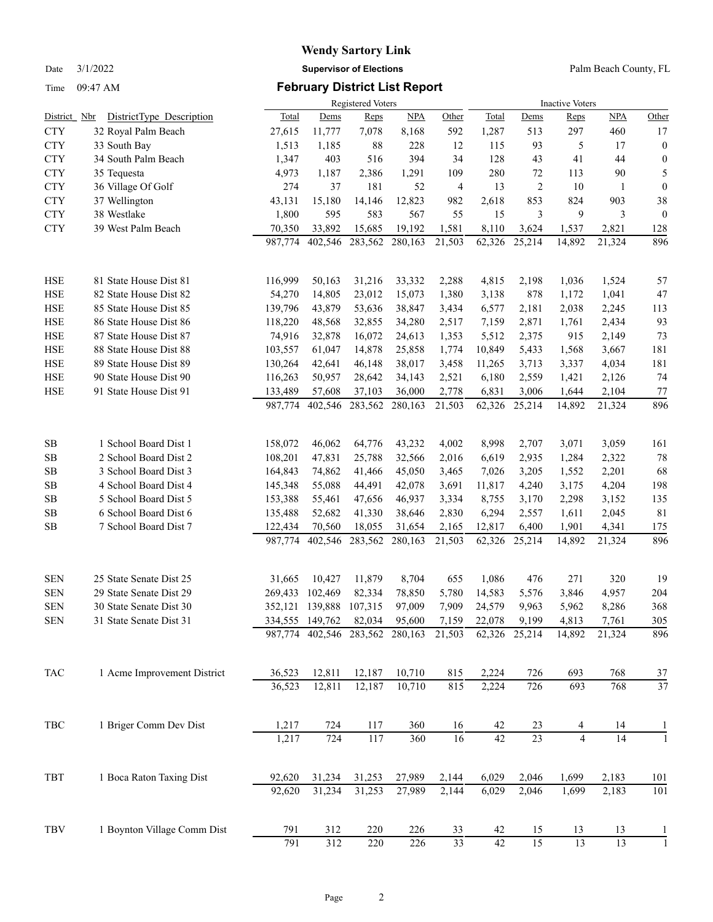Time 09:47 AM **February District List Report**

## **Wendy Sartory Link** Date 3/1/2022 **Supervisor of Elections** Palm Beach County, FL

|                        |                                                    |                    |                    | <b>Registered Voters</b> |                   |                 |                  |                 | <b>Inactive Voters</b> |                 |                  |  |  |  |
|------------------------|----------------------------------------------------|--------------------|--------------------|--------------------------|-------------------|-----------------|------------------|-----------------|------------------------|-----------------|------------------|--|--|--|
| <u>Nbr</u><br>District | DistrictType Description                           | Total              | Dems               | Reps                     | <b>NPA</b>        | Other           | Total            | Dems            | Reps                   | <b>NPA</b>      | Other            |  |  |  |
| <b>CTY</b>             | 32 Royal Palm Beach                                | 27,615             | 11,777             | 7,078                    | 8,168             | 592             | 1,287            | 513             | 297                    | 460             | 17               |  |  |  |
| <b>CTY</b>             | 33 South Bay                                       | 1,513              | 1,185              | 88                       | 228               | 12              | 115              | 93              | 5                      | 17              | $\boldsymbol{0}$ |  |  |  |
| <b>CTY</b>             | 34 South Palm Beach                                | 1,347              | 403                | 516                      | 394               | 34              | 128              | 43              | 41                     | 44              | $\boldsymbol{0}$ |  |  |  |
| <b>CTY</b>             | 35 Tequesta                                        | 4,973              | 1,187              | 2,386                    | 1,291             | 109             | 280              | 72              | 113                    | 90              | 5                |  |  |  |
| <b>CTY</b>             | 36 Village Of Golf                                 | 274                | 37                 | 181                      | 52                | 4               | 13               | $\overline{2}$  | 10                     | 1               | $\boldsymbol{0}$ |  |  |  |
| <b>CTY</b>             | 37 Wellington                                      | 43,131             | 15,180             | 14,146                   | 12,823            | 982             | 2,618            | 853             | 824                    | 903             | 38               |  |  |  |
| <b>CTY</b>             | 38 Westlake                                        | 1,800              | 595                | 583                      | 567               | 55              | 15               | 3               | 9                      | 3               | $\mathbf{0}$     |  |  |  |
| <b>CTY</b>             | 39 West Palm Beach                                 | 70,350             | 33,892             | 15,685                   | 19,192            | 1,581           | 8,110            | 3,624           | 1,537                  | 2,821           | 128              |  |  |  |
|                        |                                                    | 987,774            | 402,546            | 283,562                  | 280,163           | 21,503          | 62,326           | 25,214          | 14,892                 | 21,324          | 896              |  |  |  |
| <b>HSE</b>             | 81 State House Dist 81                             | 116,999            | 50,163             | 31,216                   | 33,332            | 2,288           | 4,815            | 2,198           | 1,036                  | 1,524           | 57               |  |  |  |
| <b>HSE</b>             | 82 State House Dist 82                             | 54,270             | 14,805             | 23,012                   | 15,073            | 1,380           | 3,138            | 878             | 1,172                  | 1,041           | 47               |  |  |  |
| <b>HSE</b>             | 85 State House Dist 85                             | 139,796            | 43,879             | 53,636                   | 38,847            | 3,434           | 6,577            | 2,181           | 2,038                  | 2,245           | 113              |  |  |  |
| <b>HSE</b>             | 86 State House Dist 86                             | 118,220            | 48,568             | 32,855                   | 34,280            | 2,517           | 7,159            | 2,871           | 1,761                  | 2,434           | 93               |  |  |  |
| <b>HSE</b>             | 87 State House Dist 87                             | 74,916             | 32,878             | 16,072                   | 24,613            | 1,353           | 5,512            | 2,375           | 915                    | 2,149           | 73               |  |  |  |
| <b>HSE</b>             | 88 State House Dist 88                             | 103,557            | 61,047             | 14,878                   | 25,858            | 1,774           | 10,849           | 5,433           | 1,568                  | 3,667           | 181              |  |  |  |
| <b>HSE</b>             | 89 State House Dist 89                             | 130,264            | 42,641             | 46,148                   | 38,017            | 3,458           | 11,265           | 3,713           | 3,337                  | 4,034           | 181              |  |  |  |
| <b>HSE</b>             | 90 State House Dist 90                             | 116,263            | 50,957             | 28,642                   | 34,143            | 2,521           | 6,180            | 2,559           | 1,421                  | 2,126           | 74               |  |  |  |
| <b>HSE</b>             | 91 State House Dist 91                             | 133,489            | 57,608             | 37,103                   | 36,000            | 2,778           | 6,831            | 3,006           | 1,644                  | 2,104           | 77               |  |  |  |
|                        |                                                    | 987,774            | 402,546            | 283,562                  | 280,163           | 21,503          | 62,326           | 25,214          | 14,892                 | 21,324          | 896              |  |  |  |
| SB                     | 1 School Board Dist 1                              | 158,072            | 46,062             | 64,776                   | 43,232            | 4,002           | 8,998            | 2,707           | 3,071                  | 3,059           | 161              |  |  |  |
| SB                     | 2 School Board Dist 2                              | 108,201            | 47,831             | 25,788                   | 32,566            | 2,016           | 6,619            | 2,935           | 1,284                  | 2,322           | 78               |  |  |  |
| <b>SB</b>              | 3 School Board Dist 3                              | 164,843            | 74,862             | 41,466                   | 45,050            | 3,465           | 7,026            | 3,205           | 1,552                  | 2,201           | 68               |  |  |  |
| <b>SB</b>              | 4 School Board Dist 4                              | 145,348            | 55,088             | 44,491                   | 42,078            | 3,691           | 11,817           | 4,240           | 3,175                  | 4,204           | 198              |  |  |  |
| SB                     | 5 School Board Dist 5                              | 153,388            | 55,461             | 47,656                   | 46,937            | 3,334           | 8,755            | 3,170           | 2,298                  | 3,152           | 135              |  |  |  |
| SB                     | 6 School Board Dist 6                              | 135,488            | 52,682             | 41,330                   | 38,646            | 2,830           | 6,294            | 2,557           | 1,611                  | 2,045           | 81               |  |  |  |
| SB                     | 7 School Board Dist 7                              | 122,434<br>987,774 | 70,560<br>402,546  | 18,055<br>283,562        | 31,654<br>280,163 | 2,165<br>21,503 | 12,817<br>62,326 | 6,400<br>25,214 | 1,901<br>14,892        | 4,341<br>21,324 | 175<br>896       |  |  |  |
|                        |                                                    |                    |                    |                          |                   |                 |                  |                 |                        |                 |                  |  |  |  |
| <b>SEN</b>             | 25 State Senate Dist 25                            | 31,665             | 10,427             | 11,879                   | 8,704             | 655             | 1,086            | 476             | 271                    | 320             | 19               |  |  |  |
| <b>SEN</b>             | 29 State Senate Dist 29                            | 269,433            | 102,469            | 82,334                   | 78,850            | 5,780           | 14,583           | 5,576           | 3,846                  | 4,957           | 204              |  |  |  |
| <b>SEN</b>             | 30 State Senate Dist 30<br>31 State Senate Dist 31 |                    | 352,121 139,888    | 107,315                  | 97,009            | 7,909           | 24,579           | 9,963           | 5,962                  | 8,286           | 368<br>305       |  |  |  |
| <b>SEN</b>             |                                                    | 334,555<br>987,774 | 149,762<br>402,546 | 82,034<br>283,562        | 95,600<br>280,163 | 7,159<br>21,503 | 22,078<br>62,326 | 9,199<br>25,214 | 4,813<br>14,892        | 7,761<br>21,324 | 896              |  |  |  |
| TAC                    | 1 Acme Improvement District                        | 36,523             | 12,811             | 12,187                   | 10,710            | 815             | 2,224            | 726             | 693                    | 768             | 37               |  |  |  |
|                        |                                                    | 36,523             | 12,811             | 12,187                   | 10,710            | 815             | 2,224            | 726             | 693                    | 768             | 37               |  |  |  |
|                        |                                                    |                    |                    |                          |                   |                 |                  |                 |                        |                 |                  |  |  |  |
| TBC                    | 1 Briger Comm Dev Dist                             | 1,217              | 724                | 117                      | 360               | 16              | 42<br>42         | 23              | 4                      | 14              | 1                |  |  |  |
|                        |                                                    | 1,217              | 724                | 117                      | 360               | 16              |                  | $\overline{23}$ | $\overline{4}$         | $\overline{14}$ |                  |  |  |  |
| TBT                    | 1 Boca Raton Taxing Dist                           | 92,620             | 31,234             | 31,253                   | 27,989            | 2,144           | 6,029            | 2,046           | 1,699                  | 2,183           | 101              |  |  |  |
|                        |                                                    | 92,620             | 31,234             | 31,253                   | 27,989            | 2,144           | 6,029            | 2,046           | 1,699                  | 2,183           | 101              |  |  |  |
| TBV                    | 1 Boynton Village Comm Dist                        | 791                | 312                | 220                      | 226               | 33              | 42               | 15              | 13                     | 13              | 1                |  |  |  |
|                        |                                                    | 791                | 312                | 220                      | 226               | $\overline{33}$ | $42\,$           | 15              | 13                     | 13              |                  |  |  |  |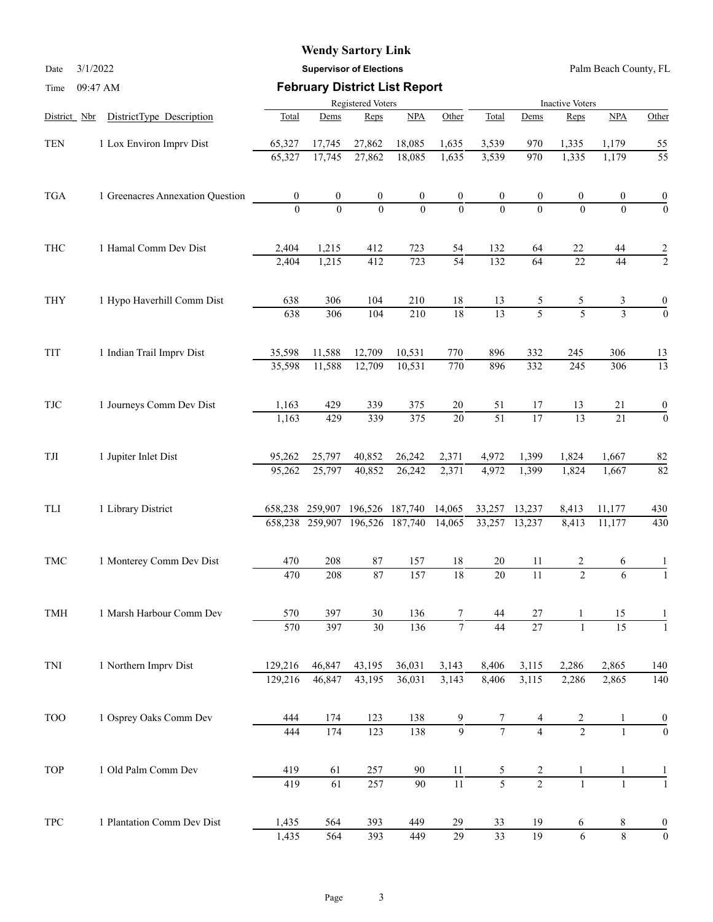Date 3/1/2022 **Supervisor of Elections** Palm Beach County, FL

| Time                     | 09:47 AM                         |                  |                         |                   | <b>February District List Report</b> |                  |                 |                  |                        |                 |                                                                                                                                                                                                              |
|--------------------------|----------------------------------|------------------|-------------------------|-------------------|--------------------------------------|------------------|-----------------|------------------|------------------------|-----------------|--------------------------------------------------------------------------------------------------------------------------------------------------------------------------------------------------------------|
|                          |                                  |                  |                         | Registered Voters |                                      |                  |                 |                  | <b>Inactive Voters</b> |                 |                                                                                                                                                                                                              |
| District Nbr             | DistrictType Description         | Total            | Dems                    | Reps              | NPA                                  | Other            | Total           | Dems             | Reps                   | NPA             | Other                                                                                                                                                                                                        |
| <b>TEN</b>               | 1 Lox Environ Imprv Dist         | 65,327           | 17,745                  | 27,862            | 18,085                               | 1,635            | 3,539           | 970              | 1,335                  | 1,179           |                                                                                                                                                                                                              |
|                          |                                  | 65,327           | 17,745                  | 27,862            | 18,085                               | 1,635            | 3,539           | 970              | 1,335                  | 1,179           | 55                                                                                                                                                                                                           |
| <b>TGA</b>               | 1 Greenacres Annexation Question | $\boldsymbol{0}$ | $\boldsymbol{0}$        | $\boldsymbol{0}$  | $\boldsymbol{0}$                     | $\boldsymbol{0}$ |                 | $\boldsymbol{0}$ | 0                      | 0               |                                                                                                                                                                                                              |
|                          |                                  | $\Omega$         | $\Omega$                | $\theta$          | $\theta$                             | $\theta$         | $\theta$        | $\Omega$         | $\theta$               | $\theta$        | $\overline{0}$                                                                                                                                                                                               |
| THC                      | 1 Hamal Comm Dev Dist            | 2,404            | 1,215                   | 412               | 723                                  | 54               | 132             | 64               | 22                     | 44              |                                                                                                                                                                                                              |
|                          |                                  | 2,404            | 1,215                   | 412               | 723                                  | $\overline{54}$  | 132             | 64               | 22                     | 44              |                                                                                                                                                                                                              |
| THY                      | 1 Hypo Haverhill Comm Dist       | 638              | 306                     | 104               | 210                                  | 18               | 13              | 5                | 5                      | 3               | $\boldsymbol{0}$                                                                                                                                                                                             |
|                          |                                  | 638              | 306                     | 104               | 210                                  | $\overline{18}$  | 13              | $\overline{5}$   | $\overline{5}$         | $\overline{3}$  | <u>55</u><br>$\boldsymbol{0}$<br>$\frac{2}{2}$<br>$\overline{0}$<br>13<br>$\overline{13}$<br>$\boldsymbol{0}$<br>$\boldsymbol{0}$<br>82<br>$\overline{82}$<br>430<br>430<br>1<br>140<br>140<br>$\frac{0}{0}$ |
| TIT                      | 1 Indian Trail Imprv Dist        | 35,598           | 11,588                  | 12,709            | 10,531                               | 770              | 896             | 332              | 245                    | 306             |                                                                                                                                                                                                              |
|                          |                                  | 35,598           | 11,588                  | 12,709            | 10,531                               | $\overline{770}$ | 896             | 332              | 245                    | 306             |                                                                                                                                                                                                              |
| $\ensuremath{{\rm TJC}}$ | 1 Journeys Comm Dev Dist         | 1,163            | 429                     | 339               | 375                                  | $20\,$           | 51              | 17               | 13                     | 21              |                                                                                                                                                                                                              |
|                          |                                  | 1,163            | 429                     | 339               | 375                                  | $\overline{20}$  | $\overline{51}$ | $\overline{17}$  | $\overline{13}$        | $\overline{21}$ |                                                                                                                                                                                                              |
| TJI                      | 1 Jupiter Inlet Dist             | 95,262           | 25,797                  | 40,852            | 26,242                               | 2,371            | 4,972           | 1,399            | 1,824                  | 1,667           |                                                                                                                                                                                                              |
|                          |                                  | 95,262           | 25,797                  | 40,852            | 26,242                               | 2,371            | 4,972           | 1,399            | 1,824                  | 1,667           |                                                                                                                                                                                                              |
| TLI                      | 1 Library District               |                  | 658,238 259,907         |                   | 196,526 187,740                      | 14,065           | 33,257          | 13,237           | 8,413                  | 11,177          |                                                                                                                                                                                                              |
|                          |                                  |                  | 658,238 259,907 196,526 |                   | 187,740                              | 14,065           | 33,257          | 13,237           | 8,413                  | 11,177          |                                                                                                                                                                                                              |
| <b>TMC</b>               | 1 Monterey Comm Dev Dist         | 470              | 208                     | $87\,$            | 157                                  | 18               | 20              | 11               | 2                      | 6               |                                                                                                                                                                                                              |
|                          |                                  | 470              | 208                     | 87                | 157                                  | $\overline{18}$  | 20              | $\overline{11}$  | $\overline{2}$         | 6               |                                                                                                                                                                                                              |
| TMH                      | 1 Marsh Harbour Comm Dev         | 570              | 397                     | 30                | 136                                  |                  | 44              | 27               |                        | 15              |                                                                                                                                                                                                              |
|                          |                                  | 570              | 397                     | 30                | 136                                  | $\boldsymbol{7}$ | $\overline{44}$ | $\overline{27}$  | 1                      | 15              |                                                                                                                                                                                                              |
| TNI                      | 1 Northern Imprv Dist            | 129,216          | 46,847                  | 43,195            | 36,031                               | 3,143            | 8,406           | 3,115            | 2,286                  | 2,865           |                                                                                                                                                                                                              |
|                          |                                  | 129,216          | 46,847                  | 43,195            | 36,031                               | 3,143            | 8,406           | 3,115            | 2,286                  | 2,865           |                                                                                                                                                                                                              |
| <b>TOO</b>               | 1 Osprey Oaks Comm Dev           | 444              | 174                     | 123               | 138                                  | 9                |                 |                  | $rac{2}{2}$            |                 |                                                                                                                                                                                                              |
|                          |                                  | 444              | 174                     | $\overline{123}$  | 138                                  | $\overline{9}$   | $\overline{7}$  | $\overline{4}$   |                        |                 |                                                                                                                                                                                                              |
| TOP                      | 1 Old Palm Comm Dev              | 419              | 61                      | 257               | 90                                   | 11               | 5               | $\overline{c}$   |                        |                 |                                                                                                                                                                                                              |
|                          |                                  | 419              | $\overline{61}$         | 257               | 90                                   | $\overline{11}$  | $\overline{5}$  | $\overline{2}$   | $\mathbf{1}$           | $\mathbf{1}$    |                                                                                                                                                                                                              |
| <b>TPC</b>               | 1 Plantation Comm Dev Dist       | 1,435            | 564                     | 393               | 449                                  | 29               | 33              | 19               | 6                      | 8               | $\boldsymbol{0}$                                                                                                                                                                                             |
|                          |                                  | 1,435            | 564                     | 393               | 449                                  | $\overline{29}$  | $\overline{33}$ | 19               | $\sqrt{6}$             | $\overline{8}$  | $\boldsymbol{0}$                                                                                                                                                                                             |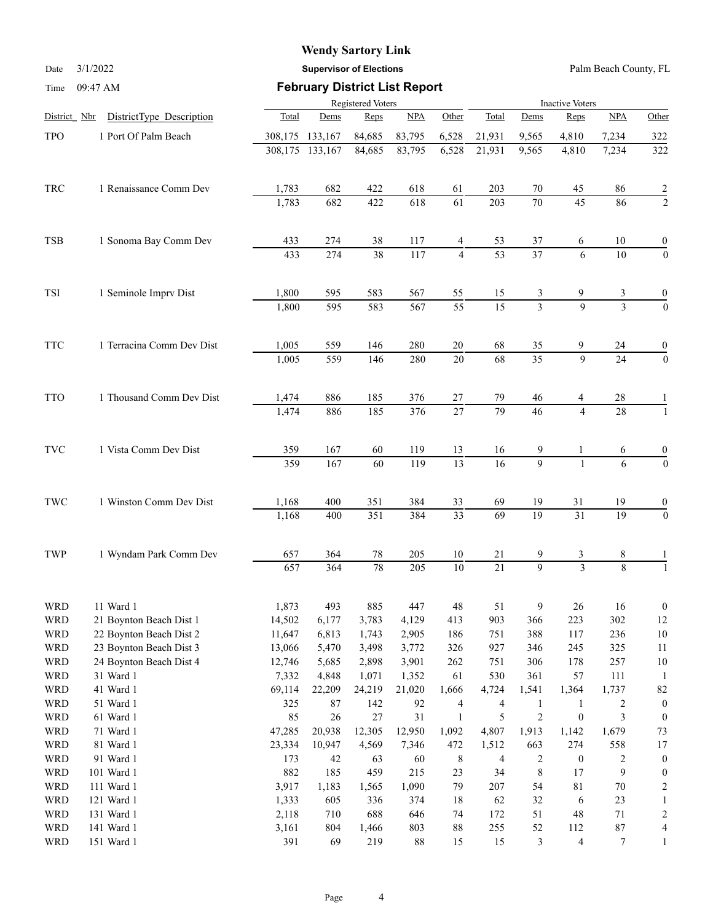Date 3/1/2022 **Supervisor of Elections** Palm Beach County, FL

| Time                     | 09:47 AM                  | <b>February District List Report</b>                                                                                                                                                                                                                                          |                  |                   |                  |                        |                 |                               |                          |                                                                                                                                                                                                                                                                       |                    |  |
|--------------------------|---------------------------|-------------------------------------------------------------------------------------------------------------------------------------------------------------------------------------------------------------------------------------------------------------------------------|------------------|-------------------|------------------|------------------------|-----------------|-------------------------------|--------------------------|-----------------------------------------------------------------------------------------------------------------------------------------------------------------------------------------------------------------------------------------------------------------------|--------------------|--|
|                          |                           |                                                                                                                                                                                                                                                                               |                  | Registered Voters |                  | <b>Inactive Voters</b> |                 |                               |                          |                                                                                                                                                                                                                                                                       |                    |  |
| District Nbr             | DistrictType Description  | Total                                                                                                                                                                                                                                                                         | Dems             | Reps              | NPA              | Other                  | Total           | Dems                          | Reps                     |                                                                                                                                                                                                                                                                       | Other              |  |
| <b>TPO</b>               | 1 Port Of Palm Beach      | 308,175                                                                                                                                                                                                                                                                       | 133,167          | 84,685            | 83,795           | 6,528                  | 21,931          | 9,565                         | 4,810                    | 7,234                                                                                                                                                                                                                                                                 | 322                |  |
|                          |                           |                                                                                                                                                                                                                                                                               | 308,175 133,167  | 84,685            | 83,795           | 6,528                  | 21,931          | 9,565                         | 4,810                    | 7,234                                                                                                                                                                                                                                                                 | 322                |  |
| TRC                      | 1 Renaissance Comm Dev    | 1,783                                                                                                                                                                                                                                                                         | 682              | 422               | 618              | 61                     | 203             | 70                            | 45                       | 86                                                                                                                                                                                                                                                                    | 2                  |  |
|                          |                           | 1,783                                                                                                                                                                                                                                                                         | 682              | 422               | 618              | 61                     | 203             | $\overline{70}$               | 45                       | NPA<br>86<br>10<br>10<br>3<br>$\overline{3}$<br>24<br>24<br>28<br>28<br>6<br>6<br>19<br>19<br>8<br>$\overline{8}$<br>16<br>302<br>236<br>325<br>257<br>$111\,$<br>1,737<br>2<br>$\mathfrak{Z}$<br>1,679<br>558<br>2<br>9<br>$70\,$<br>$23\,$<br>$71\,$<br>$87\,$<br>7 | $\overline{c}$     |  |
| <b>TSB</b>               | 1 Sonoma Bay Comm Dev     | 433                                                                                                                                                                                                                                                                           | 274              | $38\,$            | 117              | 4                      | 53              | 37                            | 6                        |                                                                                                                                                                                                                                                                       | 0                  |  |
|                          |                           | 433                                                                                                                                                                                                                                                                           | 274              | 38                | 117              | $\overline{4}$         | $\overline{53}$ | $\overline{37}$               | 6                        |                                                                                                                                                                                                                                                                       | $\overline{0}$     |  |
| <b>TSI</b>               | 1 Seminole Imprv Dist     | 1,800<br>1,005<br>1,474<br>1,168<br>657<br>14,502<br>22 Boynton Beach Dist 2<br>11,647<br>23 Boynton Beach Dist 3<br>13,066<br>24 Boynton Beach Dist 4<br>12,746<br>7,332<br>69,114<br>325<br>85<br>47,285<br>23,334<br>173<br>882<br>3,917<br>1,333<br>2,118<br>3,161<br>391 | 595              | 583               | 567              | 55                     | 15              | 3                             | 9                        |                                                                                                                                                                                                                                                                       | 0                  |  |
|                          |                           | 1,800                                                                                                                                                                                                                                                                         | $\overline{595}$ | 583               | 567              | $\overline{55}$        | $\overline{15}$ | $\overline{3}$                | $\overline{9}$           |                                                                                                                                                                                                                                                                       | $\overline{0}$     |  |
| <b>TTC</b>               | 1 Terracina Comm Dev Dist | 1,005                                                                                                                                                                                                                                                                         | 559              | 146               | 280              | 20                     | 68              | 35                            | 9                        |                                                                                                                                                                                                                                                                       | 0                  |  |
|                          |                           |                                                                                                                                                                                                                                                                               | 559              | 146               | 280              | $\overline{20}$        | 68              | $\overline{35}$               | $\overline{9}$           |                                                                                                                                                                                                                                                                       | $\overline{0}$     |  |
| <b>TTO</b>               | 1 Thousand Comm Dev Dist  | 1,474                                                                                                                                                                                                                                                                         | 886              | 185               | 376              | 27                     | 79              | 46                            | 4                        |                                                                                                                                                                                                                                                                       |                    |  |
|                          |                           |                                                                                                                                                                                                                                                                               | 886              | 185               | 376              | $\overline{27}$        | 79              | 46                            | $\overline{4}$           |                                                                                                                                                                                                                                                                       |                    |  |
| <b>TVC</b>               | 1 Vista Comm Dev Dist     | 359                                                                                                                                                                                                                                                                           | 167              | 60                | 119              | 13                     | 16              | 9                             | 1                        |                                                                                                                                                                                                                                                                       | 0                  |  |
|                          |                           | 359                                                                                                                                                                                                                                                                           | 167              | 60                | 119              | $\overline{13}$        | $\overline{16}$ | $\overline{9}$                | $\mathbf{1}$             |                                                                                                                                                                                                                                                                       | $\overline{0}$     |  |
| $\operatorname{TWC}$     | 1 Winston Comm Dev Dist   | 1,168                                                                                                                                                                                                                                                                         | 400              | 351               | 384              | 33                     | 69              | 19                            | 31                       |                                                                                                                                                                                                                                                                       | 0                  |  |
|                          |                           |                                                                                                                                                                                                                                                                               | 400              | 351               | 384              | $\overline{33}$        | 69              | $\overline{19}$               | $\overline{31}$          |                                                                                                                                                                                                                                                                       | $\boldsymbol{0}$   |  |
| TWP                      | 1 Wyndam Park Comm Dev    | 657                                                                                                                                                                                                                                                                           | 364              | 78                | 205              | $10\,$                 | 21              | 9                             | 3                        |                                                                                                                                                                                                                                                                       |                    |  |
|                          |                           |                                                                                                                                                                                                                                                                               | 364              | 78                | $\overline{205}$ | $\overline{10}$        | $\overline{21}$ | 9                             | $\overline{3}$           |                                                                                                                                                                                                                                                                       |                    |  |
| WRD                      | 11 Ward 1                 | 1,873                                                                                                                                                                                                                                                                         | 493              | 885               | 447              | 48                     | 51              | 9                             | 26                       |                                                                                                                                                                                                                                                                       | 0                  |  |
| <b>WRD</b>               | 21 Boynton Beach Dist 1   |                                                                                                                                                                                                                                                                               | 6,177            | 3,783             | 4,129            | 413                    | 903             | 366                           | 223                      |                                                                                                                                                                                                                                                                       | 12                 |  |
| <b>WRD</b>               |                           |                                                                                                                                                                                                                                                                               | 6,813            | 1,743             | 2,905            | 186                    | 751             | 388                           | 117                      |                                                                                                                                                                                                                                                                       | 10                 |  |
| <b>WRD</b><br><b>WRD</b> |                           |                                                                                                                                                                                                                                                                               | 5,470            | 3,498             | 3,772            | 326                    | 927<br>751      | 346                           | 245                      |                                                                                                                                                                                                                                                                       | 11                 |  |
|                          | 31 Ward 1                 |                                                                                                                                                                                                                                                                               | 5,685            | 2,898             | 3,901            | 262<br>61              | 530             | 306<br>361                    | 178<br>57                |                                                                                                                                                                                                                                                                       | 10                 |  |
| <b>WRD</b><br><b>WRD</b> | 41 Ward 1                 |                                                                                                                                                                                                                                                                               | 4,848            | 1,071             | 1,352<br>21,020  |                        |                 |                               |                          |                                                                                                                                                                                                                                                                       | 1                  |  |
| <b>WRD</b>               | 51 Ward 1                 |                                                                                                                                                                                                                                                                               | 22,209<br>$87\,$ | 24,219<br>142     | 92               | 1,666                  | 4,724           | 1,541<br>1                    | 1,364<br>$\mathbf{1}$    |                                                                                                                                                                                                                                                                       | 82<br>$\mathbf{0}$ |  |
| <b>WRD</b>               | 61 Ward 1                 |                                                                                                                                                                                                                                                                               | $26\,$           | $27\,$            | 31               | 4<br>$\mathbf{1}$      | 4<br>5          | $\sqrt{2}$                    | $\boldsymbol{0}$         |                                                                                                                                                                                                                                                                       | $\theta$           |  |
| <b>WRD</b>               | 71 Ward 1                 |                                                                                                                                                                                                                                                                               | 20,938           | 12,305            | 12,950           | 1,092                  | 4,807           | 1,913                         |                          |                                                                                                                                                                                                                                                                       | 73                 |  |
| <b>WRD</b>               | 81 Ward 1                 |                                                                                                                                                                                                                                                                               |                  |                   |                  |                        |                 | 663                           | 1,142<br>274             |                                                                                                                                                                                                                                                                       | 17                 |  |
| <b>WRD</b>               | 91 Ward 1                 |                                                                                                                                                                                                                                                                               | 10,947<br>$42\,$ | 4,569             | 7,346<br>60      | 472                    | 1,512           |                               |                          |                                                                                                                                                                                                                                                                       | $\theta$           |  |
| <b>WRD</b>               | 101 Ward 1                |                                                                                                                                                                                                                                                                               | 185              | 63<br>459         | 215              | $\,$ 8 $\,$<br>23      | 4<br>34         | $\overline{c}$<br>$\,$ 8 $\,$ | $\boldsymbol{0}$<br>17   |                                                                                                                                                                                                                                                                       | 0                  |  |
| <b>WRD</b>               | 111 Ward 1                |                                                                                                                                                                                                                                                                               | 1,183            | 1,565             | 1,090            | 79                     | $207\,$         | 54                            | $81\,$                   |                                                                                                                                                                                                                                                                       |                    |  |
| <b>WRD</b>               | 121 Ward 1                |                                                                                                                                                                                                                                                                               | 605              | 336               | 374              | 18                     | 62              | 32                            | 6                        |                                                                                                                                                                                                                                                                       |                    |  |
| <b>WRD</b>               | 131 Ward 1                |                                                                                                                                                                                                                                                                               | 710              | 688               | 646              | 74                     | 172             | 51                            | 48                       |                                                                                                                                                                                                                                                                       |                    |  |
| <b>WRD</b>               | 141 Ward 1                |                                                                                                                                                                                                                                                                               | 804              | 1,466             | 803              | $88\,$                 | 255             | 52                            | 112                      |                                                                                                                                                                                                                                                                       |                    |  |
| <b>WRD</b>               | 151 Ward 1                |                                                                                                                                                                                                                                                                               | 69               | 219               | $88\,$           | 15                     | 15              | $\mathfrak{Z}$                | $\overline{\mathcal{L}}$ |                                                                                                                                                                                                                                                                       |                    |  |
|                          |                           |                                                                                                                                                                                                                                                                               |                  |                   |                  |                        |                 |                               |                          |                                                                                                                                                                                                                                                                       |                    |  |